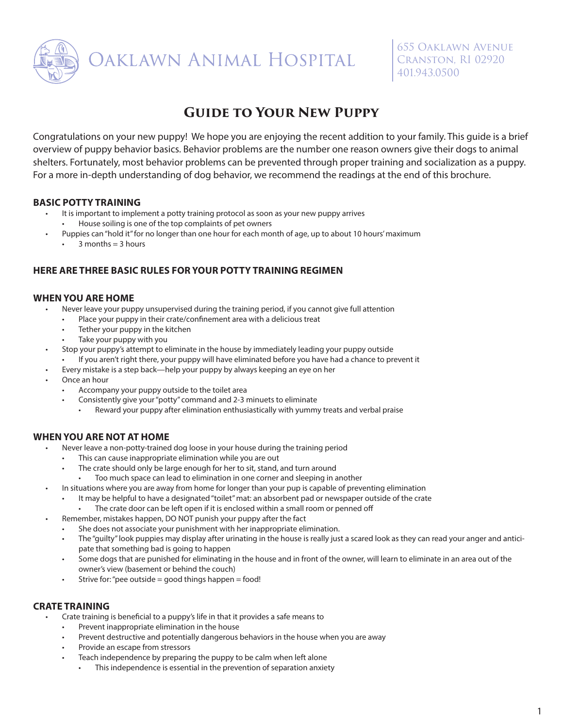

# **Guide to Your New Puppy**

Congratulations on your new puppy! We hope you are enjoying the recent addition to your family. This guide is a brief overview of puppy behavior basics. Behavior problems are the number one reason owners give their dogs to animal shelters. Fortunately, most behavior problems can be prevented through proper training and socialization as a puppy. For a more in-depth understanding of dog behavior, we recommend the readings at the end of this brochure.

# **BASIC POTTY TRAINING**

- It is important to implement a potty training protocol as soon as your new puppy arrives
- House soiling is one of the top complaints of pet owners
- Puppies can "hold it" for no longer than one hour for each month of age, up to about 10 hours' maximum
	- $3$  months =  $3$  hours

# **HERE ARE THREE BASIC RULES FOR YOUR POTTY TRAINING REGIMEN**

# **WHEN YOU ARE HOME**

- Never leave your puppy unsupervised during the training period, if you cannot give full attention
	- Place your puppy in their crate/confinement area with a delicious treat
	- Tether your puppy in the kitchen
	- Take your puppy with you
- Stop your puppy's attempt to eliminate in the house by immediately leading your puppy outside
	- If you aren't right there, your puppy will have eliminated before you have had a chance to prevent it
- Every mistake is a step back—help your puppy by always keeping an eye on her
- Once an hour
	- Accompany your puppy outside to the toilet area
	- Consistently give your "potty" command and 2-3 minuets to eliminate
		- Reward your puppy after elimination enthusiastically with yummy treats and verbal praise

# **WHEN YOU ARE NOT AT HOME**

- Never leave a non-potty-trained dog loose in your house during the training period
	- This can cause inappropriate elimination while you are out
	- The crate should only be large enough for her to sit, stand, and turn around
		- Too much space can lead to elimination in one corner and sleeping in another
- In situations where you are away from home for longer than your pup is capable of preventing elimination
	- It may be helpful to have a designated "toilet" mat: an absorbent pad or newspaper outside of the crate
		- The crate door can be left open if it is enclosed within a small room or penned off
- Remember, mistakes happen, DO NOT punish your puppy after the fact
	- She does not associate your punishment with her inappropriate elimination.
		- The "guilty" look puppies may display after urinating in the house is really just a scared look as they can read your anger and anticipate that something bad is going to happen
	- Some dogs that are punished for eliminating in the house and in front of the owner, will learn to eliminate in an area out of the owner's view (basement or behind the couch)
	- $\bullet$  Strive for: "pee outside = good things happen = food!

# **CRATE TRAINING**

- Crate training is beneficial to a puppy's life in that it provides a safe means to
	- Prevent inappropriate elimination in the house
	- Prevent destructive and potentially dangerous behaviors in the house when you are away
	- Provide an escape from stressors
	- Teach independence by preparing the puppy to be calm when left alone
		- This independence is essential in the prevention of separation anxiety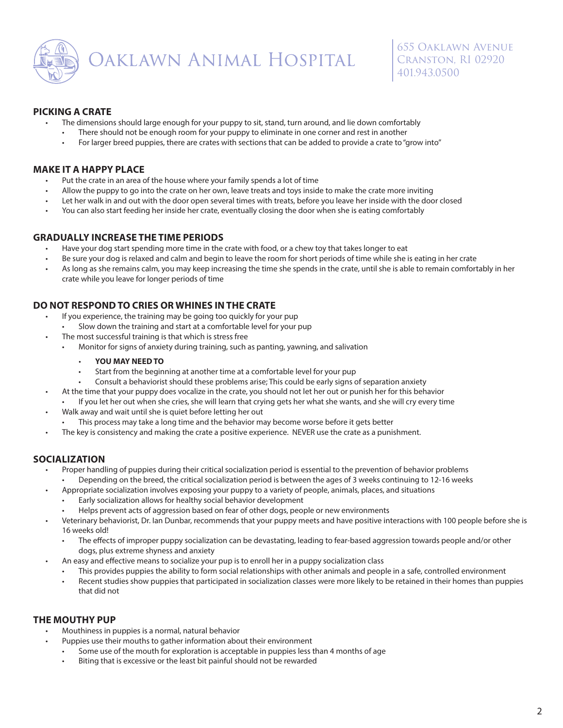

## **PICKING A CRATE**

- The dimensions should large enough for your puppy to sit, stand, turn around, and lie down comfortably
- There should not be enough room for your puppy to eliminate in one corner and rest in another
- For larger breed puppies, there are crates with sections that can be added to provide a crate to "grow into"

# **MAKE IT A HAPPY PLACE**

- Put the crate in an area of the house where your family spends a lot of time
- Allow the puppy to go into the crate on her own, leave treats and toys inside to make the crate more inviting
- Let her walk in and out with the door open several times with treats, before you leave her inside with the door closed
- You can also start feeding her inside her crate, eventually closing the door when she is eating comfortably

### **GRADUALLY INCREASE THE TIME PERIODS**

- Have your dog start spending more time in the crate with food, or a chew toy that takes longer to eat
- Be sure your dog is relaxed and calm and begin to leave the room for short periods of time while she is eating in her crate
- As long as she remains calm, you may keep increasing the time she spends in the crate, until she is able to remain comfortably in her crate while you leave for longer periods of time

# **DO NOT RESPOND TO CRIES OR WHINES IN THE CRATE**

- If you experience, the training may be going too quickly for your pup
	- Slow down the training and start at a comfortable level for your pup
- The most successful training is that which is stress free
	- Monitor for signs of anxiety during training, such as panting, yawning, and salivation
		- **YOU MAY NEED TO**
		- Start from the beginning at another time at a comfortable level for your pup
		- Consult a behaviorist should these problems arise; This could be early signs of separation anxiety
- At the time that your puppy does vocalize in the crate, you should not let her out or punish her for this behavior
- If you let her out when she cries, she will learn that crying gets her what she wants, and she will cry every time
- Walk away and wait until she is quiet before letting her out
- This process may take a long time and the behavior may become worse before it gets better
- The key is consistency and making the crate a positive experience. NEVER use the crate as a punishment.

#### **SOCIALIZATION**

- Proper handling of puppies during their critical socialization period is essential to the prevention of behavior problems • Depending on the breed, the critical socialization period is between the ages of 3 weeks continuing to 12-16 weeks
- Appropriate socialization involves exposing your puppy to a variety of people, animals, places, and situations
	- Early socialization allows for healthy social behavior development
	- Helps prevent acts of aggression based on fear of other dogs, people or new environments
- Veterinary behaviorist, Dr. Ian Dunbar, recommends that your puppy meets and have positive interactions with 100 people before she is 16 weeks old!
	- The effects of improper puppy socialization can be devastating, leading to fear-based aggression towards people and/or other dogs, plus extreme shyness and anxiety
- An easy and effective means to socialize your pup is to enroll her in a puppy socialization class
	- This provides puppies the ability to form social relationships with other animals and people in a safe, controlled environment
	- Recent studies show puppies that participated in socialization classes were more likely to be retained in their homes than puppies that did not

# **THE MOUTHY PUP**

- Mouthiness in puppies is a normal, natural behavior
- Puppies use their mouths to gather information about their environment
	- Some use of the mouth for exploration is acceptable in puppies less than 4 months of age
	- Biting that is excessive or the least bit painful should not be rewarded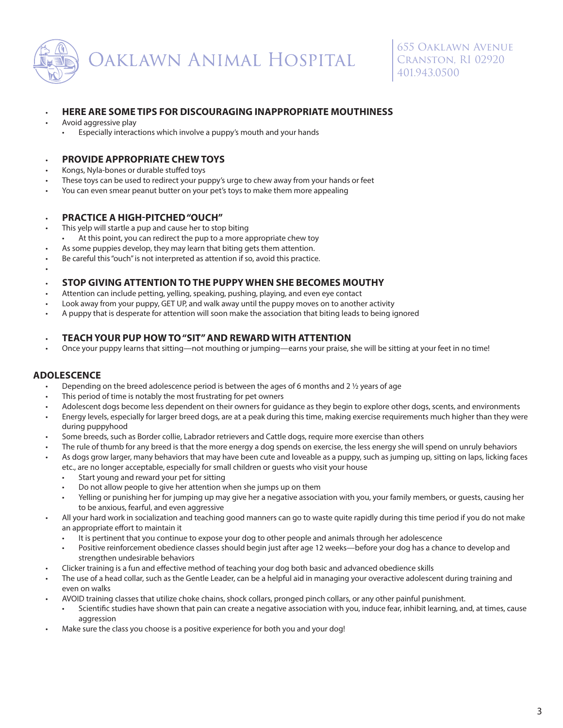

#### • **HERE ARE SOME TIPS FOR DISCOURAGING INAPPROPRIATE MOUTHINESS**

- Avoid aggressive play
	- Especially interactions which involve a puppy's mouth and your hands

# • **PROVIDE APPROPRIATE CHEW TOYS**

- Kongs, Nyla-bones or durable stuffed toys
- These toys can be used to redirect your puppy's urge to chew away from your hands or feet
- You can even smear peanut butter on your pet's toys to make them more appealing

## • **PRACTICE A HIGH-PITCHED "OUCH"**

- This yelp will startle a pup and cause her to stop biting
- At this point, you can redirect the pup to a more appropriate chew toy
- As some puppies develop, they may learn that biting gets them attention.
- Be careful this "ouch" is not interpreted as attention if so, avoid this practice.

### • **STOP GIVING ATTENTION TO THE PUPPY WHEN SHE BECOMES MOUTHY**

- Attention can include petting, yelling, speaking, pushing, playing, and even eye contact
- Look away from your puppy, GET UP, and walk away until the puppy moves on to another activity
- A puppy that is desperate for attention will soon make the association that biting leads to being ignored

#### • **TEACH YOUR PUP HOW TO "SIT" AND REWARD WITH ATTENTION**

• Once your puppy learns that sitting—not mouthing or jumping—earns your praise, she will be sitting at your feet in no time!

# **ADOLESCENCE**

•

- Depending on the breed adolescence period is between the ages of 6 months and 2  $\frac{1}{2}$  years of age
- This period of time is notably the most frustrating for pet owners
- Adolescent dogs become less dependent on their owners for guidance as they begin to explore other dogs, scents, and environments
- Energy levels, especially for larger breed dogs, are at a peak during this time, making exercise requirements much higher than they were during puppyhood
- Some breeds, such as Border collie, Labrador retrievers and Cattle dogs, require more exercise than others
- The rule of thumb for any breed is that the more energy a dog spends on exercise, the less energy she will spend on unruly behaviors
- As dogs grow larger, many behaviors that may have been cute and loveable as a puppy, such as jumping up, sitting on laps, licking faces etc., are no longer acceptable, especially for small children or guests who visit your house
	- Start young and reward your pet for sitting
	- Do not allow people to give her attention when she jumps up on them
	- Yelling or punishing her for jumping up may give her a negative association with you, your family members, or guests, causing her to be anxious, fearful, and even aggressive
- All your hard work in socialization and teaching good manners can go to waste quite rapidly during this time period if you do not make an appropriate effort to maintain it
	- It is pertinent that you continue to expose your dog to other people and animals through her adolescence
	- Positive reinforcement obedience classes should begin just after age 12 weeks—before your dog has a chance to develop and strengthen undesirable behaviors
- Clicker training is a fun and effective method of teaching your dog both basic and advanced obedience skills
- The use of a head collar, such as the Gentle Leader, can be a helpful aid in managing your overactive adolescent during training and even on walks
- AVOID training classes that utilize choke chains, shock collars, pronged pinch collars, or any other painful punishment.
	- Scientific studies have shown that pain can create a negative association with you, induce fear, inhibit learning, and, at times, cause aggression
- Make sure the class you choose is a positive experience for both you and your dog!